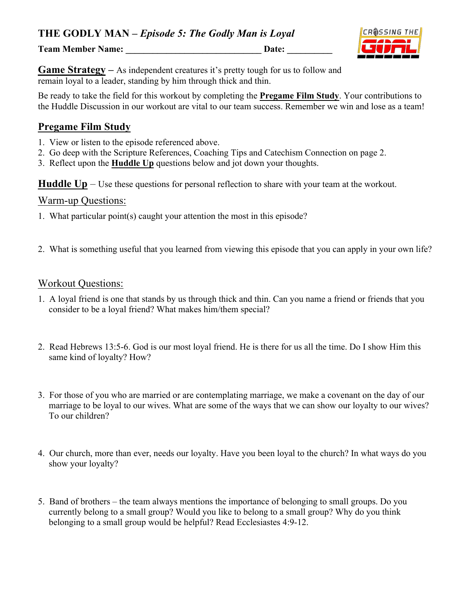**Team Member Name:** Date: Date:



**Game Strategy** – As independent creatures it's pretty tough for us to follow and remain loyal to a leader, standing by him through thick and thin.

Be ready to take the field for this workout by completing the **Pregame Film Study**. Your contributions to the Huddle Discussion in our workout are vital to our team success. Remember we win and lose as a team!

## **Pregame Film Study**

- 1. View or listen to the episode referenced above.
- 2. Go deep with the Scripture References, Coaching Tips and Catechism Connection on page 2.
- 3. Reflect upon the **Huddle Up** questions below and jot down your thoughts.

**Huddle Up** – Use these questions for personal reflection to share with your team at the workout.

### Warm-up Questions:

- 1. What particular point(s) caught your attention the most in this episode?
- 2. What is something useful that you learned from viewing this episode that you can apply in your own life?

### Workout Questions:

- 1. A loyal friend is one that stands by us through thick and thin. Can you name a friend or friends that you consider to be a loyal friend? What makes him/them special?
- 2. Read Hebrews 13:5-6. God is our most loyal friend. He is there for us all the time. Do I show Him this same kind of loyalty? How?
- 3. For those of you who are married or are contemplating marriage, we make a covenant on the day of our marriage to be loyal to our wives. What are some of the ways that we can show our loyalty to our wives? To our children?
- 4. Our church, more than ever, needs our loyalty. Have you been loyal to the church? In what ways do you show your loyalty?
- 5. Band of brothers the team always mentions the importance of belonging to small groups. Do you currently belong to a small group? Would you like to belong to a small group? Why do you think belonging to a small group would be helpful? Read Ecclesiastes 4:9-12.